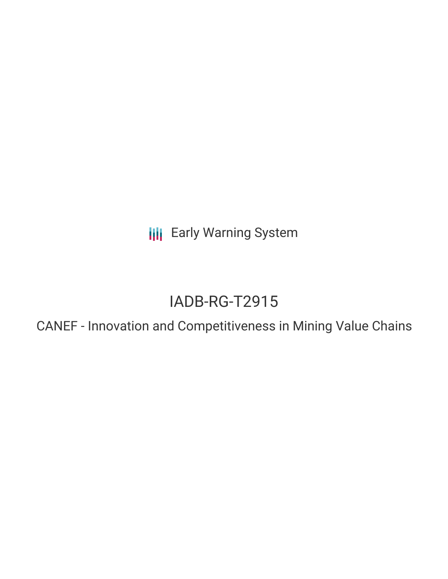**III** Early Warning System

# IADB-RG-T2915

CANEF - Innovation and Competitiveness in Mining Value Chains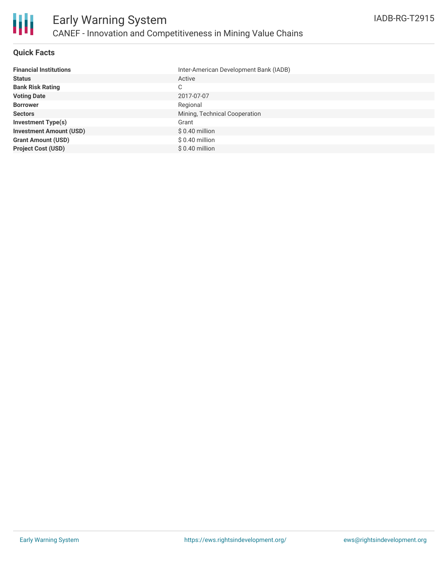

### **Quick Facts**

| <b>Financial Institutions</b>  | Inter-American Development Bank (IADB) |
|--------------------------------|----------------------------------------|
| <b>Status</b>                  | Active                                 |
| <b>Bank Risk Rating</b>        | C                                      |
| <b>Voting Date</b>             | 2017-07-07                             |
| <b>Borrower</b>                | Regional                               |
| <b>Sectors</b>                 | Mining, Technical Cooperation          |
| <b>Investment Type(s)</b>      | Grant                                  |
| <b>Investment Amount (USD)</b> | $$0.40$ million                        |
| <b>Grant Amount (USD)</b>      | $$0.40$ million                        |
| <b>Project Cost (USD)</b>      | $$0.40$ million                        |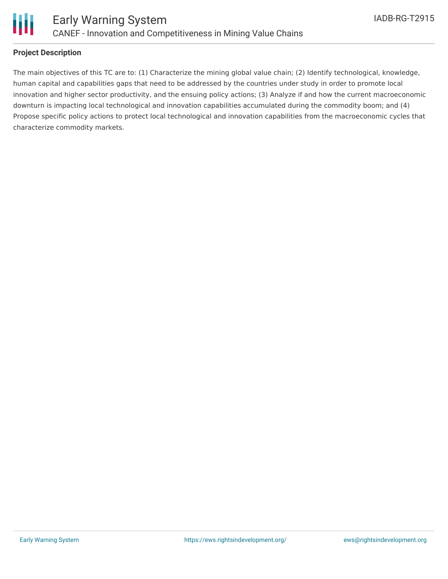

### **Project Description**

The main objectives of this TC are to: (1) Characterize the mining global value chain; (2) Identify technological, knowledge, human capital and capabilities gaps that need to be addressed by the countries under study in order to promote local innovation and higher sector productivity, and the ensuing policy actions; (3) Analyze if and how the current macroeconomic downturn is impacting local technological and innovation capabilities accumulated during the commodity boom; and (4) Propose specific policy actions to protect local technological and innovation capabilities from the macroeconomic cycles that characterize commodity markets.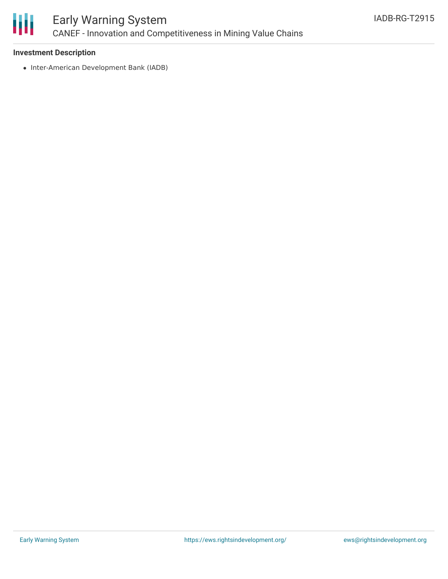

## Early Warning System CANEF - Innovation and Competitiveness in Mining Value Chains

### **Investment Description**

• Inter-American Development Bank (IADB)